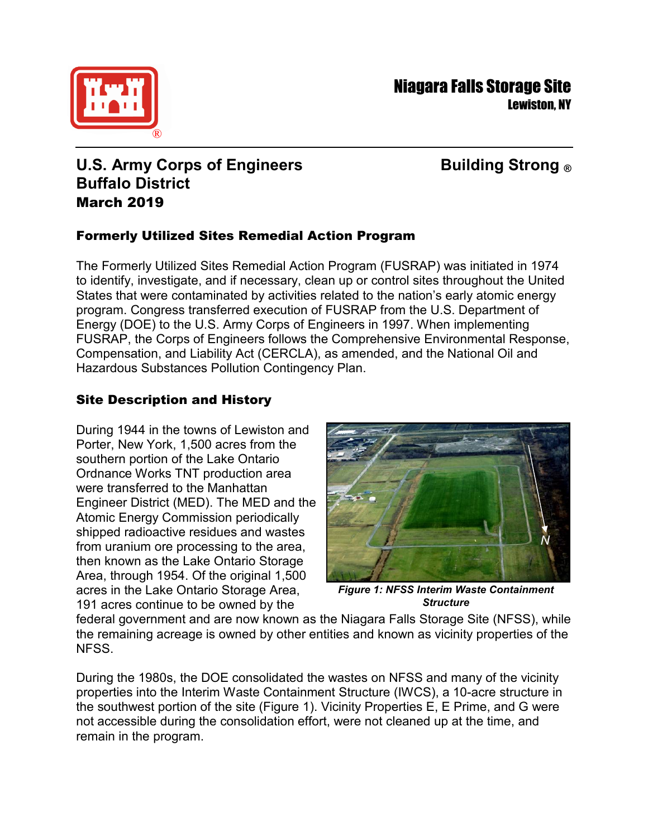

# **U.S. Army Corps of Engineers Building Strong ® Buffalo District** March 2019

## Formerly Utilized Sites Remedial Action Program

The Formerly Utilized Sites Remedial Action Program (FUSRAP) was initiated in 1974 to identify, investigate, and if necessary, clean up or control sites throughout the United States that were contaminated by activities related to the nation's early atomic energy program. Congress transferred execution of FUSRAP from the U.S. Department of Energy (DOE) to the U.S. Army Corps of Engineers in 1997. When implementing FUSRAP, the Corps of Engineers follows the Comprehensive Environmental Response, Compensation, and Liability Act (CERCLA), as amended, and the National Oil and Hazardous Substances Pollution Contingency Plan.

## Site Description and History

During 1944 in the towns of Lewiston and Porter, New York, 1,500 acres from the southern portion of the Lake Ontario Ordnance Works TNT production area were transferred to the Manhattan Engineer District (MED). The MED and the Atomic Energy Commission periodically shipped radioactive residues and wastes from uranium ore processing to the area, then known as the Lake Ontario Storage Area, through 1954. Of the original 1,500 acres in the Lake Ontario Storage Area, 191 acres continue to be owned by the



*Figure 1: NFSS Interim Waste Containment Structure*

federal government and are now known as the Niagara Falls Storage Site (NFSS), while the remaining acreage is owned by other entities and known as vicinity properties of the NFSS.

During the 1980s, the DOE consolidated the wastes on NFSS and many of the vicinity properties into the Interim Waste Containment Structure (IWCS), a 10-acre structure in the southwest portion of the site (Figure 1). Vicinity Properties E, E Prime, and G were not accessible during the consolidation effort, were not cleaned up at the time, and remain in the program.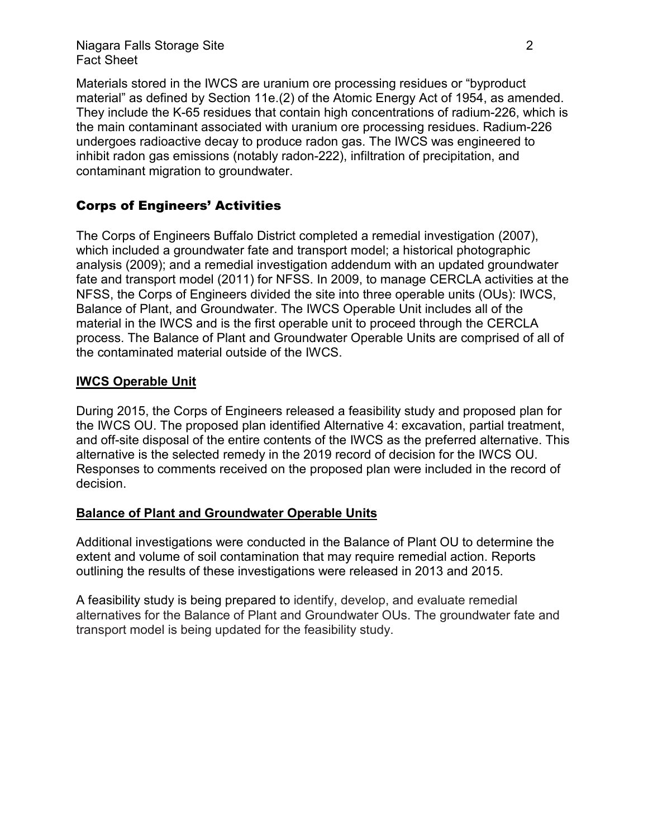Niagara Falls Storage Site 2 Fact Sheet

Materials stored in the IWCS are uranium ore processing residues or "byproduct material" as defined by Section 11e.(2) of the Atomic Energy Act of 1954, as amended. They include the K-65 residues that contain high concentrations of radium-226, which is the main contaminant associated with uranium ore processing residues. Radium-226 undergoes radioactive decay to produce radon gas. The IWCS was engineered to inhibit radon gas emissions (notably radon-222), infiltration of precipitation, and contaminant migration to groundwater.

## Corps of Engineers' Activities

The Corps of Engineers Buffalo District completed a remedial investigation (2007), which included a groundwater fate and transport model; a historical photographic analysis (2009); and a remedial investigation addendum with an updated groundwater fate and transport model (2011) for NFSS. In 2009, to manage CERCLA activities at the NFSS, the Corps of Engineers divided the site into three operable units (OUs): IWCS, Balance of Plant, and Groundwater. The IWCS Operable Unit includes all of the material in the IWCS and is the first operable unit to proceed through the CERCLA process. The Balance of Plant and Groundwater Operable Units are comprised of all of the contaminated material outside of the IWCS.

#### **IWCS Operable Unit**

During 2015, the Corps of Engineers released a feasibility study and proposed plan for the IWCS OU. The proposed plan identified Alternative 4: excavation, partial treatment, and off-site disposal of the entire contents of the IWCS as the preferred alternative. This alternative is the selected remedy in the 2019 record of decision for the IWCS OU. Responses to comments received on the proposed plan were included in the record of decision.

#### **Balance of Plant and Groundwater Operable Units**

Additional investigations were conducted in the Balance of Plant OU to determine the extent and volume of soil contamination that may require remedial action. Reports outlining the results of these investigations were released in 2013 and 2015.

A feasibility study is being prepared to identify, develop, and evaluate remedial alternatives for the Balance of Plant and Groundwater OUs. The groundwater fate and transport model is being updated for the feasibility study.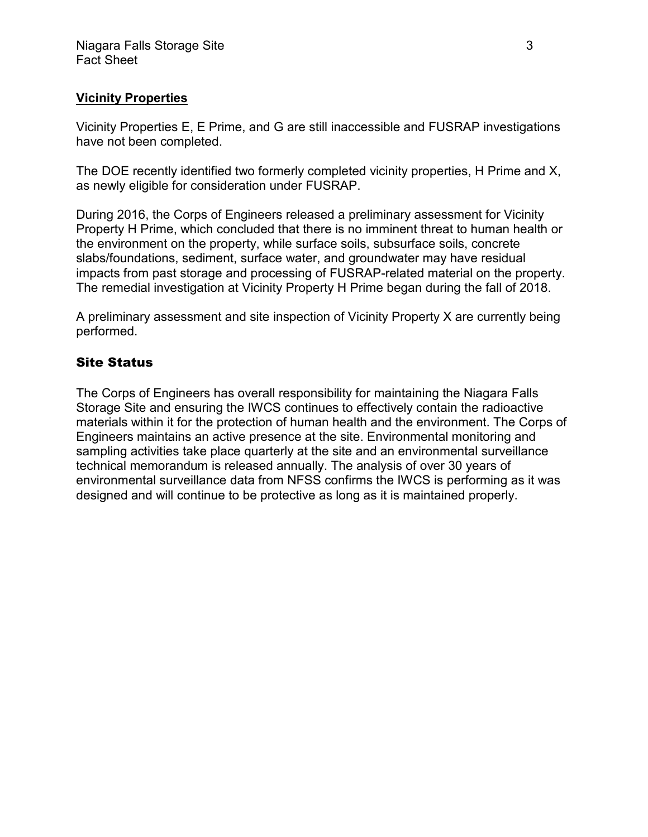## **Vicinity Properties**

Vicinity Properties E, E Prime, and G are still inaccessible and FUSRAP investigations have not been completed.

The DOE recently identified two formerly completed vicinity properties, H Prime and X, as newly eligible for consideration under FUSRAP.

During 2016, the Corps of Engineers released a preliminary assessment for Vicinity Property H Prime, which concluded that there is no imminent threat to human health or the environment on the property, while surface soils, subsurface soils, concrete slabs/foundations, sediment, surface water, and groundwater may have residual impacts from past storage and processing of FUSRAP-related material on the property. The remedial investigation at Vicinity Property H Prime began during the fall of 2018.

A preliminary assessment and site inspection of Vicinity Property X are currently being performed.

#### Site Status

The Corps of Engineers has overall responsibility for maintaining the Niagara Falls Storage Site and ensuring the IWCS continues to effectively contain the radioactive materials within it for the protection of human health and the environment. The Corps of Engineers maintains an active presence at the site. Environmental monitoring and sampling activities take place quarterly at the site and an environmental surveillance technical memorandum is released annually. The analysis of over 30 years of environmental surveillance data from NFSS confirms the IWCS is performing as it was designed and will continue to be protective as long as it is maintained properly.